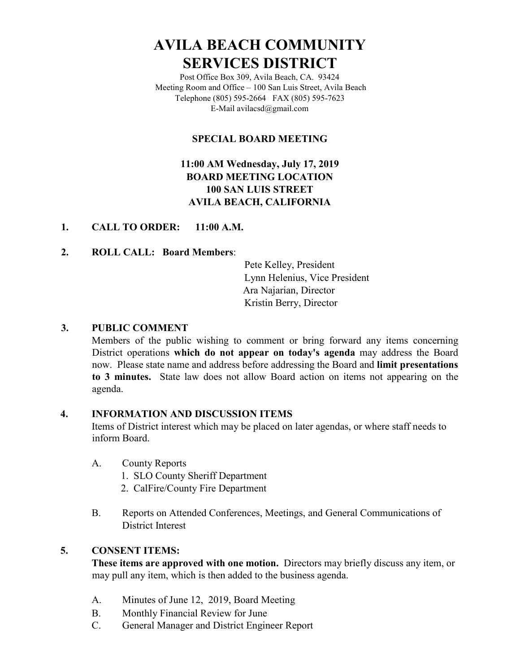# **AVILA BEACH COMMUNITY SERVICES DISTRICT**

Post Office Box 309, Avila Beach, CA. 93424 Meeting Room and Office – 100 San Luis Street, Avila Beach Telephone (805) 595-2664 FAX (805) 595-7623 E-Mail avilacsd@gmail.com

# **SPECIAL BOARD MEETING**

# **11:00 AM Wednesday, July 17, 2019 BOARD MEETING LOCATION 100 SAN LUIS STREET AVILA BEACH, CALIFORNIA**

# **1. CALL TO ORDER: 11:00 A.M.**

# **2. ROLL CALL: Board Members**:

Pete Kelley, President Lynn Helenius, Vice President Ara Najarian, Director Kristin Berry, Director

#### **3. PUBLIC COMMENT**

Members of the public wishing to comment or bring forward any items concerning District operations **which do not appear on today's agenda** may address the Board now. Please state name and address before addressing the Board and **limit presentations to 3 minutes.** State law does not allow Board action on items not appearing on the agenda.

#### **4. INFORMATION AND DISCUSSION ITEMS**

Items of District interest which may be placed on later agendas, or where staff needs to inform Board.

- A. County Reports
	- 1. SLO County Sheriff Department
	- 2. CalFire/County Fire Department
- B. Reports on Attended Conferences, Meetings, and General Communications of District Interest

#### **5. CONSENT ITEMS:**

**These items are approved with one motion.** Directors may briefly discuss any item, or may pull any item, which is then added to the business agenda.

- A. Minutes of June 12, 2019, Board Meeting
- B. Monthly Financial Review for June
- C. General Manager and District Engineer Report